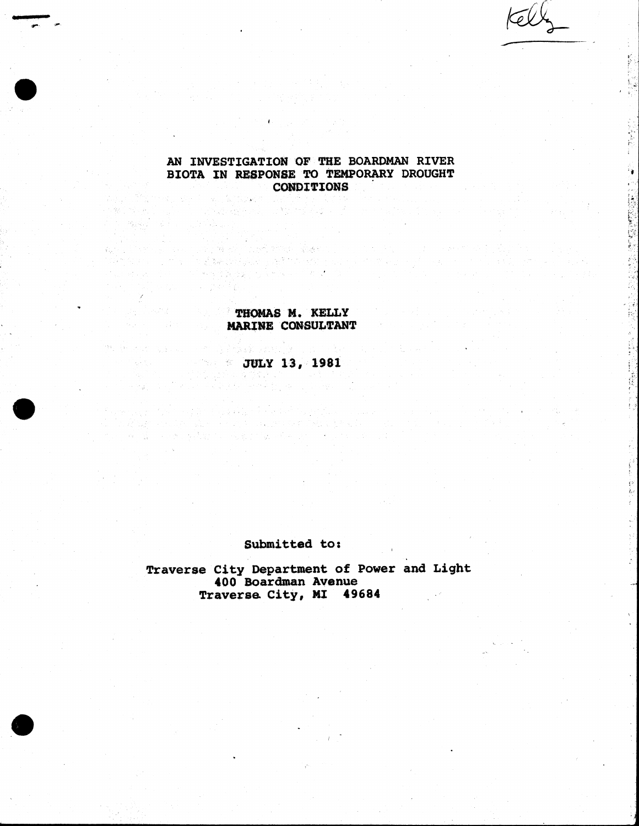۰.

# **AN INVESTIGATION OF THE BOARDMAN RIVER BIOTA IN RESPONSE TO TEMPORARY DROUGHT CONDITIONS**

### **THOMAS M. KELLY THOMAS M.**  $\bullet$ **MARINE CONSULTANT**

and a street with the company of the property of the street property of the company of the street of the street<br>The property of the street of the street property of the property of the street company of the street of the s

그 아니 아이가 잘 좋았다. 한도 어떻게 없어 보니?

er and de la Politica de la Politica de la Politica de la Politica de la Politica de la Politica de la Politic<br>De la Politica de la Politica de la Politica de la Politica de la Politica de la Politica de la Politica de l<br>1

그 그 옷은 많.

 $\omega_{\rm Edd}$  ,  $\tau$ 

 $\hat{G}_{\rm M}^{(1)}$  ,  $\hat{G}_{\rm M}^{(2)}$ 

n Pepinano en 1954 ha **JULY 13, 1981**

#### **Submitted to;**

**Traverse City Department of Power and Light 400 Boardman Avenue Traverse City, MI 49684**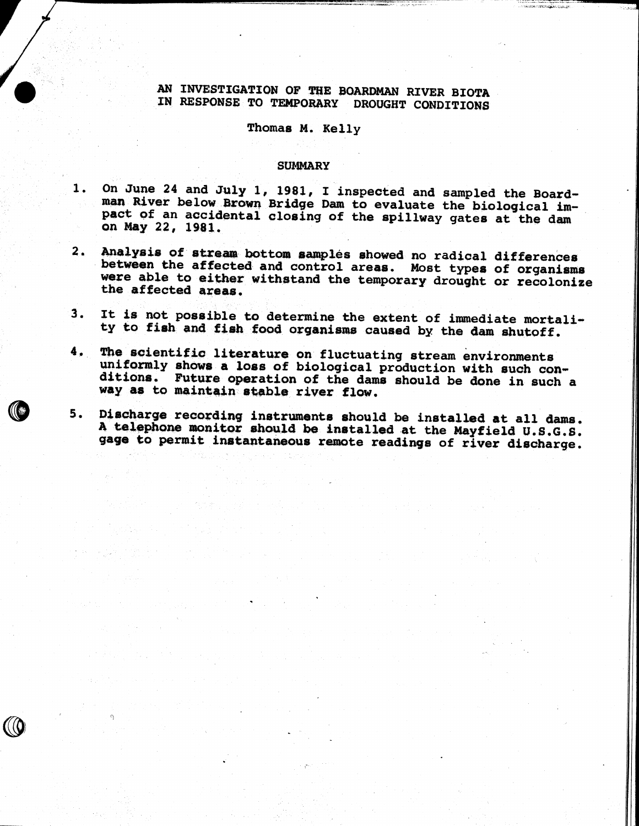### **AN INVESTIGATION OF THE BOARDMAN RIVER BIOTA IN RESPONSE TO TEMPORARY DROUGHT CONDITIONS**

#### **Thomas M. Kelly**

#### **SUMMARY**

- **On June 24 and July 1, 1981, I inspected and sampled the Board-**1. **man River below Brown Bridge Dam to evaluate the biological impact of an accidental closing of the spillway gates at the dam on May 22, 1981.**
- **Analysis of stream bottom samples showed no radical differences**  $2.$ **between the affected and control areas. Most types of organisms were able to either withstand the temporary drought or recoIonize the affected areas.**
- **It is not possible to determine the extent of immediate mortali-**3. **ty to fish and fish food organisms caused by the dam shutoff.**
- 4. **The scientific literature on fluctuating stream environments** uniformly shows a loss of biological production with such con**ditions. Future operation of the dams should be done in such a way as to maintain stable river flow.**
- **Discharge recording instruments should be installed at all dams.** 5. **A telephone monitor should be installed at the Mayfield U.S.G.S. gage to permit instantaneous remote readings of river discharge.**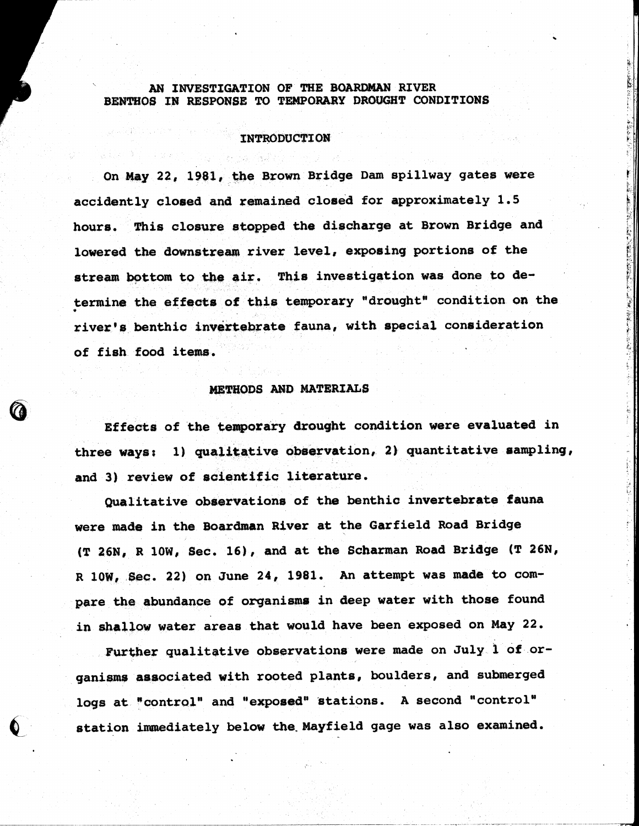### **AN INVESTIGATION OF THE BOARDMAN RIVER BENTHOS IN RESPONSE TO TEMPORARY DROUGHT CONDITIONS**

#### **INTRODUCTION**

**On May 22, 1981, the Brown Bridge Dam spillway gates were accidently closed and remained closed for approximately 1.5 hours. This closure stopped the discharge at Brown Bridge and** lowered the downstream river level, exposing portions of the **stream bottom to the air. This investigation was done to determine the effects of this temporary "drought" condition on the river's benthic invertebrate fauna, with special consideration of fish food items.**

#### **METHODS AND MATERIALS**

**Effects of the temporary drought condition were evaluated in three ways; 1) qualitative observation, 2) quantitative sampling, and 3) review of scientific literature.**

**Qualitative observations of the benthic invertebrate fauna were made in the Boardman River at the Garfield Road Bridge {T 26N, R 10W, Sec. 16), and at the Scharman Road Bridge (T 26N, R 10W, Sec. 22) on June 24, 1981. An attempt was made to compare the abundance of organisms in deep water with those found in shallow water areas that would have been exposed on May 22.**

**Further qualitative observations were made on July 1 of organisms associated with rooted plants, boulders, and submerged logs at "control" and "exposed" stations. A second "control" station immediately below the. Mayfield gage was also examined.**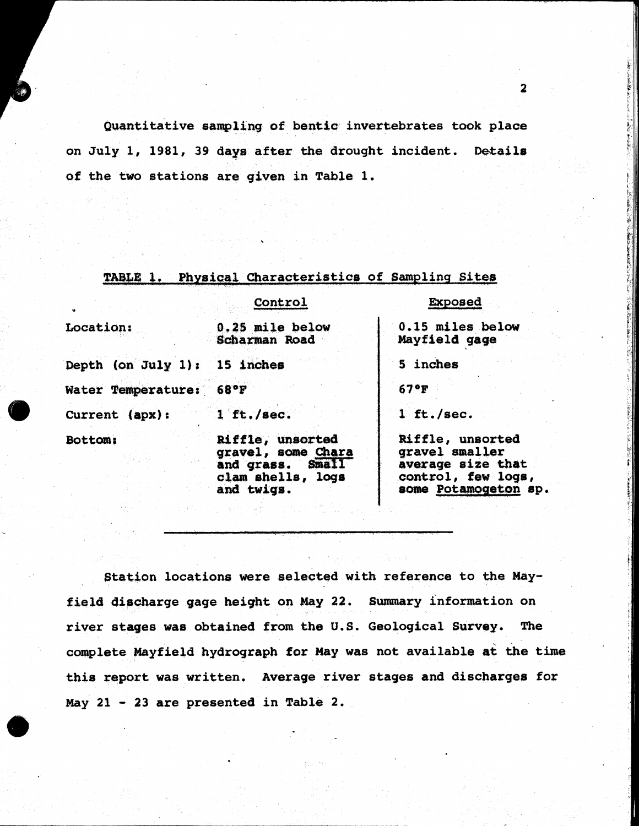**Quantitative sampling of bentic invertebrates took place on July I, 1981, 39 days after the drought incident. Details of the two stations are given in Table 1.**

#### **TABLE 1. Physical Characteristics of Sampling Sites**

|                              | Control                                                                                       | <b>Exposed</b>                                                                                        |  |  |
|------------------------------|-----------------------------------------------------------------------------------------------|-------------------------------------------------------------------------------------------------------|--|--|
| Location:                    | 0.25 mile below<br>Scharman Road                                                              | 0.15 miles below<br>Mayfield gage                                                                     |  |  |
| Depth (on July 1): 15 inches |                                                                                               | 5 inches                                                                                              |  |  |
| Water Temperature: 68°F      |                                                                                               | 67°F                                                                                                  |  |  |
| Current (apx):               | 1 ft./sec.                                                                                    | $1$ ft./sec.                                                                                          |  |  |
| Bottom:                      | Riffle, unsorted<br>gravel, some Chara<br>and grass. Small<br>clam shells, logs<br>and twigs. | Riffle, unsorted<br>gravel smaller<br>average size that<br>control, few logs,<br>some Potamogeton sp. |  |  |

**Station locations were selected with reference to the Mayfield discharge gage height on May 22. Summary information on river stages was obtained from the U.S. Geological Survey. The complete Mayfield hydrograph for May was not available at the time this report was written. Average river stages and discharges for May 21 - 23 are presented in Table 2.**

 $\mathbf{2}$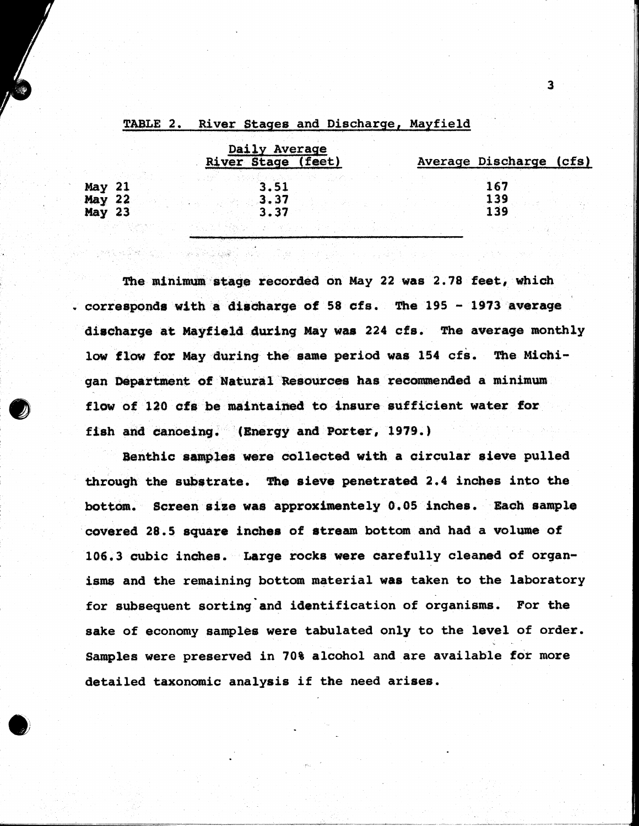|               |  | Daily Average |      |                    |  |                         |  |  |
|---------------|--|---------------|------|--------------------|--|-------------------------|--|--|
|               |  |               |      | River Stage (feet) |  | Average Discharge (cfs) |  |  |
|               |  |               |      |                    |  |                         |  |  |
| May 21        |  |               | 3.51 |                    |  | 167                     |  |  |
| May 22        |  |               | 3.37 |                    |  | 139                     |  |  |
| <b>May 23</b> |  |               | 3.37 |                    |  | 139                     |  |  |
|               |  |               |      |                    |  |                         |  |  |

#### River Stages and Discharge, Mayfield TABLE 2.

**The minimum stage recorded on May 22 was 2.78 feet, which v** corresponds with a discharge of 58 cfs. The 195 - 1973 average **discharge at Mayfield during May was 224 cfs. The average monthly** low flow for May during the same period was 154 cfs. The Michi**gan Department of Natural Resources has recommended a minimum flow of 120 cfs be maintained to insure sufficient water for** fish and canoeing. (Energy and Porter, 1979.)

**Benthic samples were collected with a circular sieve pulled through the substrate. The sieve penetrated 2.4 inches into the bottom. Screen size was approximentely 0,05 inches. Each sample covered 28.5 square inches of stream bottom and had a volume of 10€,3 cubic inches. karge rocks were carefully cleaned of organisms and the remaining bottom material was taken to the laboratory for subsequent sorting and identification of organisms. For the sake of economy samples were tabulated only to the level of order, samples were preserved in 70% alcohol and are available for more detailed taxonomic analysis if the need arises.**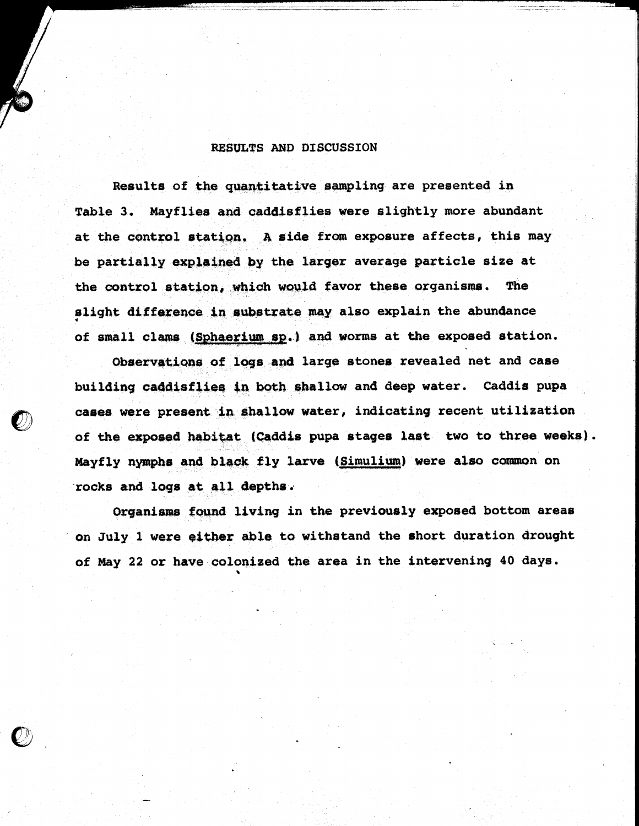#### RESULTS AND DISCUSSION

**Results of the quantitative sampling are presented in Table 3. Mayflies and caddisflies were slightly more abundant** at the control station. A side from exposure affects, this may **be partially explained by the larger average particle size at** the control station, which would favor these organisms. The **slight difference in substrate may also explain the abundance of small clams (Sphaerium sp.) and worms at the exposed station.**

**Observations of logs and large stones revealed net and case building caddisfliea in both shallow and deep water. Caddis pupa cases were present fhallow water, indicating recent utilization of the exposed habitat (Caddis pupa stages last two to three weeks). Mayfly nymphs and black fly larve (Simulium) were also common on rocks and logs at all depths.**

**Organisms found living in the previously exposed bottom areas on July 1 were either able to withstand the short duration drought of May 22 or have colonized the area in the intervening 40 days.**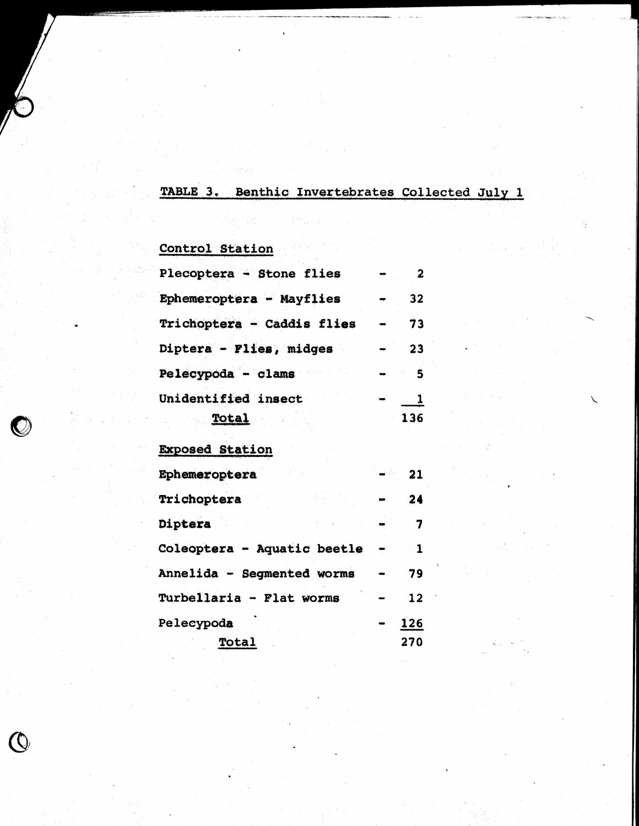# TABLE 3. Benthic Invertebrates Collected July 1

# **Control Station**

Martin

 $\binom{6}{5}$ 

| Plecoptera - Stone flies   | 2   |
|----------------------------|-----|
| Ephemeroptera - Mayflies   | 32  |
| Trichoptera - Caddis flies | 73  |
| Diptera - Flies, midges    | 23  |
| Pelecypoda - clams         | 5   |
| Unidentified insect        |     |
| Total                      | 136 |

### **Exposed Station**

| Ephemeroptera               | 21                |
|-----------------------------|-------------------|
| Trichoptera                 | 24                |
| Diptera                     | 7                 |
| Coleoptera - Aquatic beetle | 1                 |
| Annelida - Segmented worms  | 79                |
| Turbellaria - Flat worms    | 12                |
| Pelecypoda<br>Total         | 126<br><b>270</b> |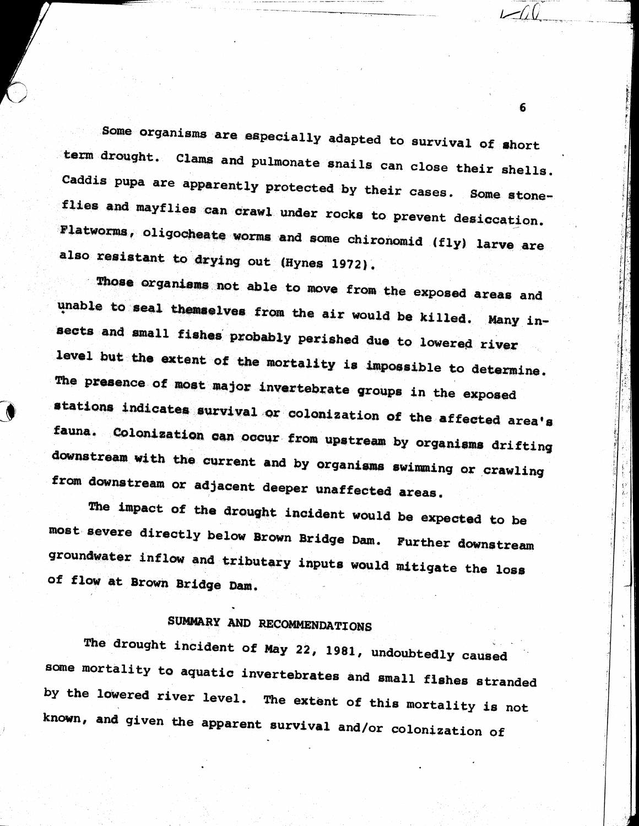**Some organisms are especially adapted to survival of short** term drought. Clams and pulmonate snails can close their shells. **Caddis pupa are apparently protected by their cases. Some atone**flies and mayflies can crawl under rocks to prevent desiccation. Flatworms, oligocheate worms and some chironomid (fly) larve are also resistant to drying out (Hynes 1972).

Those organisms not able to move from the exposed areas and **unable to seal themselves from the air would be killed. Many insects and small fishes probably perished due to lowered river level but the extent of the mortality is impossible to determine.** The presence of most major invertebrate groups in the exposed **station, indicates survival or colonization of the affected area's fauna. Colonisation can occur from upstream by organisms drifting** downstream with the current and by organisms swimming or crawling from downstream or adjacent deeper unaffected areas.

**The impact of the drought incident would be expected to be** most severe directly below Brown Bridge Dam. Further downstream **groundwater inflow and tributary inputs would mitigate the loss of flow at Brown Bridge Dam.**

# **SUMMARY AND RECOMMENDATIONS**

**The drought incident of May 22, 1981, undoubtedly caused** some mortality to aquatic invertebrates and small fishes stranded **by the lowered river level. The extent of this mortality is not known, and given the apparent survival and/or colonisation of**